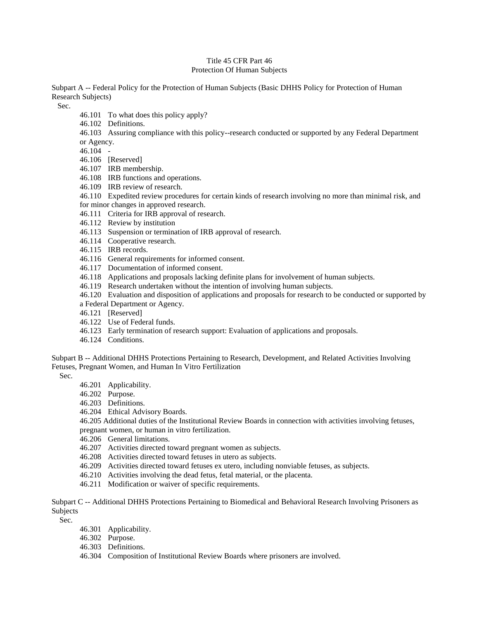## Title 45 CFR Part 46 Protection Of Human Subjects

Subpart A -- Federal Policy for the Protection of Human Subjects (Basic DHHS Policy for Protection of Human Research Subjects)

Sec.

46.101 To what does this policy apply?

46.102 Definitions.

46.103 Assuring compliance with this policy--research conducted or supported by any Federal Department or Agency.

46.104 -

46.106 [Reserved]

46.107 IRB membership.

46.108 IRB functions and operations.

46.109 IRB review of research.

46.110 Expedited review procedures for certain kinds of research involving no more than minimal risk, and for minor changes in approved research.

- 46.111 Criteria for IRB approval of research.
- 46.112 Review by institution
- 46.113 Suspension or termination of IRB approval of research.
- 46.114 Cooperative research.
- 46.115 IRB records.
- 46.116 General requirements for informed consent.
- 46.117 Documentation of informed consent.
- 46.118 Applications and proposals lacking definite plans for involvement of human subjects.
- 46.119 Research undertaken without the intention of involving human subjects.
- 46.120 Evaluation and disposition of applications and proposals for research to be conducted or supported by a Federal Department or Agency.
- 46.121 [Reserved]
- 46.122 Use of Federal funds.
- 46.123 Early termination of research support: Evaluation of applications and proposals.
- 46.124 Conditions.

Subpart B -- Additional DHHS Protections Pertaining to Research, Development, and Related Activities Involving Fetuses, Pregnant Women, and Human In Vitro Fertilization

Sec.

- 46.201 Applicability.
- 46.202 Purpose.
- 46.203 Definitions.
- 46.204 Ethical Advisory Boards.

46.205 Additional duties of the Institutional Review Boards in connection with activities involving fetuses, pregnant women, or human in vitro fertilization.

- 46.206 General limitations.
- 46.207 Activities directed toward pregnant women as subjects.
- 46.208 Activities directed toward fetuses in utero as subjects.
- 46.209 Activities directed toward fetuses ex utero, including nonviable fetuses, as subjects.
- 46.210 Activities involving the dead fetus, fetal material, or the placenta.
- 46.211 Modification or waiver of specific requirements.

Subpart C -- Additional DHHS Protections Pertaining to Biomedical and Behavioral Research Involving Prisoners as Subjects

Sec.

- 46.301 Applicability.
- 46.302 Purpose.
- 46.303 Definitions.
- 46.304 Composition of Institutional Review Boards where prisoners are involved.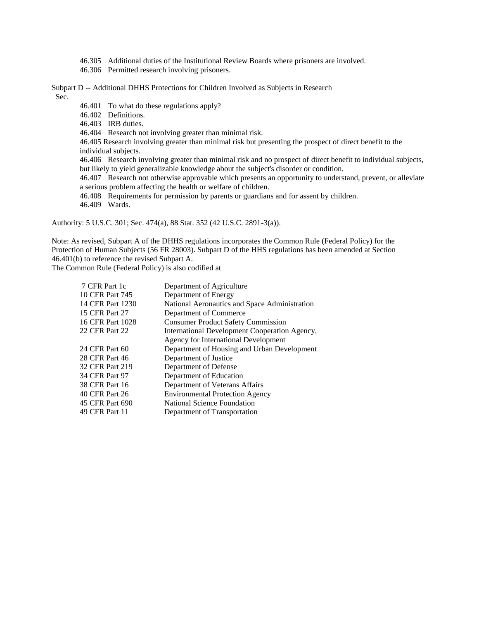- 46.305 Additional duties of the Institutional Review Boards where prisoners are involved.
- 46.306 Permitted research involving prisoners.

Subpart D -- Additional DHHS Protections for Children Involved as Subjects in Research Sec.

46.401 To what do these regulations apply?

46.402 Definitions.

46.403 IRB duties.

46.404 Research not involving greater than minimal risk.

46.405 Research involving greater than minimal risk but presenting the prospect of direct benefit to the individual subjects.

46.406 Research involving greater than minimal risk and no prospect of direct benefit to individual subjects, but likely to yield generalizable knowledge about the subject's disorder or condition.

46.407 Research not otherwise approvable which presents an opportunity to understand, prevent, or alleviate a serious problem affecting the health or welfare of children.

46.408 Requirements for permission by parents or guardians and for assent by children.

46.409 Wards.

Authority: 5 U.S.C. 301; Sec. 474(a), 88 Stat. 352 (42 U.S.C. 2891-3(a)).

Note: As revised, Subpart A of the DHHS regulations incorporates the Common Rule (Federal Policy) for the Protection of Human Subjects (56 FR 28003). Subpart D of the HHS regulations has been amended at Section 46.401(b) to reference the revised Subpart A.

The Common Rule (Federal Policy) is also codified at

| 7 CFR Part 1c    | Department of Agriculture                     |
|------------------|-----------------------------------------------|
| 10 CFR Part 745  | Department of Energy                          |
| 14 CFR Part 1230 | National Aeronautics and Space Administration |
| 15 CFR Part 27   | Department of Commerce                        |
| 16 CFR Part 1028 | <b>Consumer Product Safety Commission</b>     |
| 22 CFR Part 22   | International Development Cooperation Agency, |
|                  | Agency for International Development          |
| 24 CFR Part 60   | Department of Housing and Urban Development   |
| 28 CFR Part 46   | Department of Justice                         |
| 32 CFR Part 219  | Department of Defense                         |
| 34 CFR Part 97   | Department of Education                       |
| 38 CFR Part 16   | Department of Veterans Affairs                |
| 40 CFR Part 26   | <b>Environmental Protection Agency</b>        |
| 45 CFR Part 690  | National Science Foundation                   |
| 49 CFR Part 11   | Department of Transportation                  |
|                  |                                               |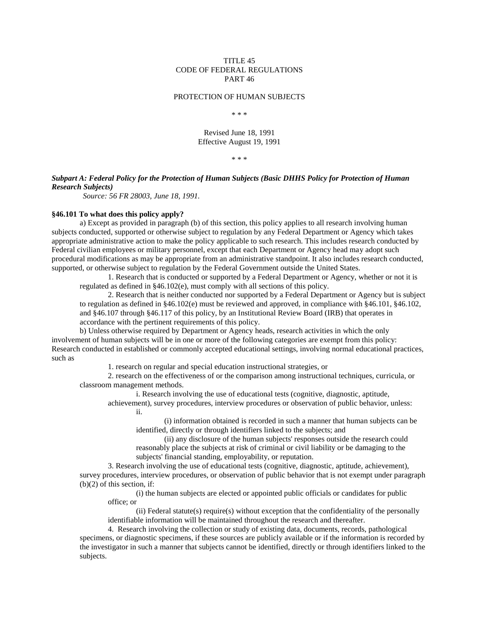## TITLE 45 CODE OF FEDERAL REGULATIONS PART 46

#### PROTECTION OF HUMAN SUBJECTS

\* \* \*

### Revised June 18, 1991 Effective August 19, 1991

\* \* \*

# *Subpart A: Federal Policy for the Protection of Human Subjects (Basic DHHS Policy for Protection of Human Research Subjects)*

 *Source: 56 FR 28003, June 18, 1991.*

### **§46.101 To what does this policy apply?**

a) Except as provided in paragraph (b) of this section, this policy applies to all research involving human subjects conducted, supported or otherwise subject to regulation by any Federal Department or Agency which takes appropriate administrative action to make the policy applicable to such research. This includes research conducted by Federal civilian employees or military personnel, except that each Department or Agency head may adopt such procedural modifications as may be appropriate from an administrative standpoint. It also includes research conducted, supported, or otherwise subject to regulation by the Federal Government outside the United States.

1. Research that is conducted or supported by a Federal Department or Agency, whether or not it is regulated as defined in §46.102(e), must comply with all sections of this policy.

2. Research that is neither conducted nor supported by a Federal Department or Agency but is subject to regulation as defined in §46.102(e) must be reviewed and approved, in compliance with §46.101, §46.102, and §46.107 through §46.117 of this policy, by an Institutional Review Board (IRB) that operates in accordance with the pertinent requirements of this policy.

b) Unless otherwise required by Department or Agency heads, research activities in which the only involvement of human subjects will be in one or more of the following categories are exempt from this policy: Research conducted in established or commonly accepted educational settings, involving normal educational practices, such as

1. research on regular and special education instructional strategies, or

2. research on the effectiveness of or the comparison among instructional techniques, curricula, or classroom management methods.

i. Research involving the use of educational tests (cognitive, diagnostic, aptitude,

achievement), survey procedures, interview procedures or observation of public behavior, unless: ii.

> (i) information obtained is recorded in such a manner that human subjects can be identified, directly or through identifiers linked to the subjects; and

(ii) any disclosure of the human subjects' responses outside the research could reasonably place the subjects at risk of criminal or civil liability or be damaging to the subjects' financial standing, employability, or reputation.

3. Research involving the use of educational tests (cognitive, diagnostic, aptitude, achievement), survey procedures, interview procedures, or observation of public behavior that is not exempt under paragraph (b)(2) of this section, if:

(i) the human subjects are elected or appointed public officials or candidates for public office; or

(ii) Federal statute(s) require(s) without exception that the confidentiality of the personally identifiable information will be maintained throughout the research and thereafter.

4. Research involving the collection or study of existing data, documents, records, pathological specimens, or diagnostic specimens, if these sources are publicly available or if the information is recorded by the investigator in such a manner that subjects cannot be identified, directly or through identifiers linked to the subjects.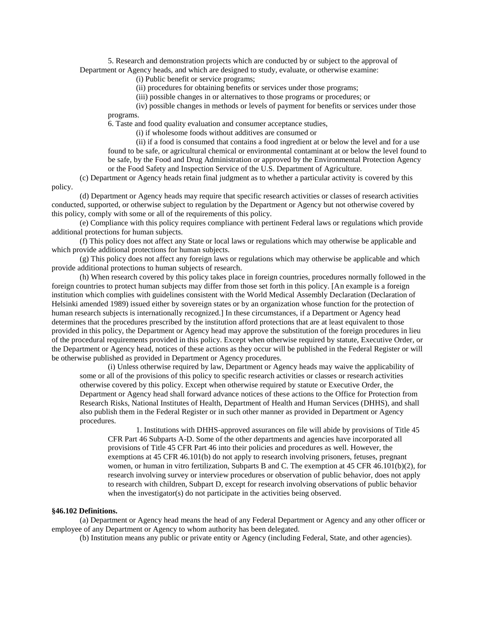5. Research and demonstration projects which are conducted by or subject to the approval of Department or Agency heads, and which are designed to study, evaluate, or otherwise examine:

(i) Public benefit or service programs;

(ii) procedures for obtaining benefits or services under those programs;

(iii) possible changes in or alternatives to those programs or procedures; or

(iv) possible changes in methods or levels of payment for benefits or services under those programs.

6. Taste and food quality evaluation and consumer acceptance studies,

(i) if wholesome foods without additives are consumed or

(ii) if a food is consumed that contains a food ingredient at or below the level and for a use found to be safe, or agricultural chemical or environmental contaminant at or below the level found to be safe, by the Food and Drug Administration or approved by the Environmental Protection Agency or the Food Safety and Inspection Service of the U.S. Department of Agriculture.

(c) Department or Agency heads retain final judgment as to whether a particular activity is covered by this policy.

(d) Department or Agency heads may require that specific research activities or classes of research activities conducted, supported, or otherwise subject to regulation by the Department or Agency but not otherwise covered by this policy, comply with some or all of the requirements of this policy.

(e) Compliance with this policy requires compliance with pertinent Federal laws or regulations which provide additional protections for human subjects.

(f) This policy does not affect any State or local laws or regulations which may otherwise be applicable and which provide additional protections for human subjects.

(g) This policy does not affect any foreign laws or regulations which may otherwise be applicable and which provide additional protections to human subjects of research.

(h) When research covered by this policy takes place in foreign countries, procedures normally followed in the foreign countries to protect human subjects may differ from those set forth in this policy. [An example is a foreign institution which complies with guidelines consistent with the World Medical Assembly Declaration (Declaration of Helsinki amended 1989) issued either by sovereign states or by an organization whose function for the protection of human research subjects is internationally recognized.] In these circumstances, if a Department or Agency head determines that the procedures prescribed by the institution afford protections that are at least equivalent to those provided in this policy, the Department or Agency head may approve the substitution of the foreign procedures in lieu of the procedural requirements provided in this policy. Except when otherwise required by statute, Executive Order, or the Department or Agency head, notices of these actions as they occur will be published in the Federal Register or will be otherwise published as provided in Department or Agency procedures.

(i) Unless otherwise required by law, Department or Agency heads may waive the applicability of some or all of the provisions of this policy to specific research activities or classes or research activities otherwise covered by this policy. Except when otherwise required by statute or Executive Order, the Department or Agency head shall forward advance notices of these actions to the Office for Protection from Research Risks, National Institutes of Health, Department of Health and Human Services (DHHS), and shall also publish them in the Federal Register or in such other manner as provided in Department or Agency procedures.

1. Institutions with DHHS-approved assurances on file will abide by provisions of Title 45 CFR Part 46 Subparts A-D. Some of the other departments and agencies have incorporated all provisions of Title 45 CFR Part 46 into their policies and procedures as well. However, the exemptions at 45 CFR 46.101(b) do not apply to research involving prisoners, fetuses, pregnant women, or human in vitro fertilization, Subparts B and C. The exemption at 45 CFR 46.101(b)(2), for research involving survey or interview procedures or observation of public behavior, does not apply to research with children, Subpart D, except for research involving observations of public behavior when the investigator(s) do not participate in the activities being observed.

### **§46.102 Definitions.**

(a) Department or Agency head means the head of any Federal Department or Agency and any other officer or employee of any Department or Agency to whom authority has been delegated.

(b) Institution means any public or private entity or Agency (including Federal, State, and other agencies).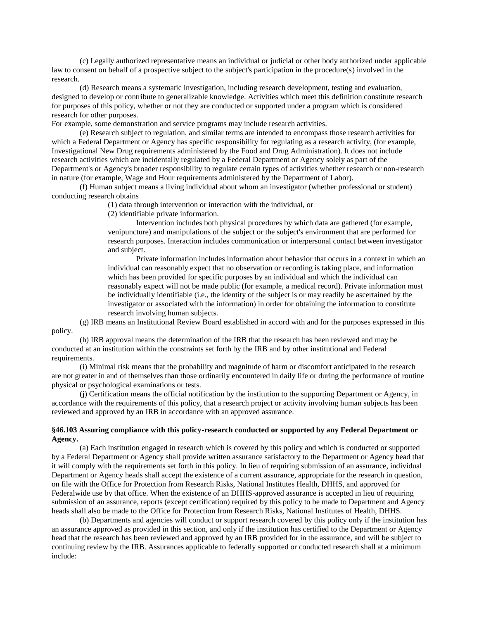(c) Legally authorized representative means an individual or judicial or other body authorized under applicable law to consent on behalf of a prospective subject to the subject's participation in the procedure(s) involved in the research.

(d) Research means a systematic investigation, including research development, testing and evaluation, designed to develop or contribute to generalizable knowledge. Activities which meet this definition constitute research for purposes of this policy, whether or not they are conducted or supported under a program which is considered research for other purposes.

For example, some demonstration and service programs may include research activities.

(e) Research subject to regulation, and similar terms are intended to encompass those research activities for which a Federal Department or Agency has specific responsibility for regulating as a research activity, (for example, Investigational New Drug requirements administered by the Food and Drug Administration). It does not include research activities which are incidentally regulated by a Federal Department or Agency solely as part of the Department's or Agency's broader responsibility to regulate certain types of activities whether research or non-research in nature (for example, Wage and Hour requirements administered by the Department of Labor).

(f) Human subject means a living individual about whom an investigator (whether professional or student) conducting research obtains

(1) data through intervention or interaction with the individual, or

(2) identifiable private information.

Intervention includes both physical procedures by which data are gathered (for example, venipuncture) and manipulations of the subject or the subject's environment that are performed for research purposes. Interaction includes communication or interpersonal contact between investigator and subject.

Private information includes information about behavior that occurs in a context in which an individual can reasonably expect that no observation or recording is taking place, and information which has been provided for specific purposes by an individual and which the individual can reasonably expect will not be made public (for example, a medical record). Private information must be individually identifiable (i.e., the identity of the subject is or may readily be ascertained by the investigator or associated with the information) in order for obtaining the information to constitute research involving human subjects.

(g) IRB means an Institutional Review Board established in accord with and for the purposes expressed in this policy.

(h) IRB approval means the determination of the IRB that the research has been reviewed and may be conducted at an institution within the constraints set forth by the IRB and by other institutional and Federal requirements.

(i) Minimal risk means that the probability and magnitude of harm or discomfort anticipated in the research are not greater in and of themselves than those ordinarily encountered in daily life or during the performance of routine physical or psychological examinations or tests.

(j) Certification means the official notification by the institution to the supporting Department or Agency, in accordance with the requirements of this policy, that a research project or activity involving human subjects has been reviewed and approved by an IRB in accordance with an approved assurance.

## **§46.103 Assuring compliance with this policy-research conducted or supported by any Federal Department or Agency.**

(a) Each institution engaged in research which is covered by this policy and which is conducted or supported by a Federal Department or Agency shall provide written assurance satisfactory to the Department or Agency head that it will comply with the requirements set forth in this policy. In lieu of requiring submission of an assurance, individual Department or Agency heads shall accept the existence of a current assurance, appropriate for the research in question, on file with the Office for Protection from Research Risks, National Institutes Health, DHHS, and approved for Federalwide use by that office. When the existence of an DHHS-approved assurance is accepted in lieu of requiring submission of an assurance, reports (except certification) required by this policy to be made to Department and Agency heads shall also be made to the Office for Protection from Research Risks, National Institutes of Health, DHHS.

(b) Departments and agencies will conduct or support research covered by this policy only if the institution has an assurance approved as provided in this section, and only if the institution has certified to the Department or Agency head that the research has been reviewed and approved by an IRB provided for in the assurance, and will be subject to continuing review by the IRB. Assurances applicable to federally supported or conducted research shall at a minimum include: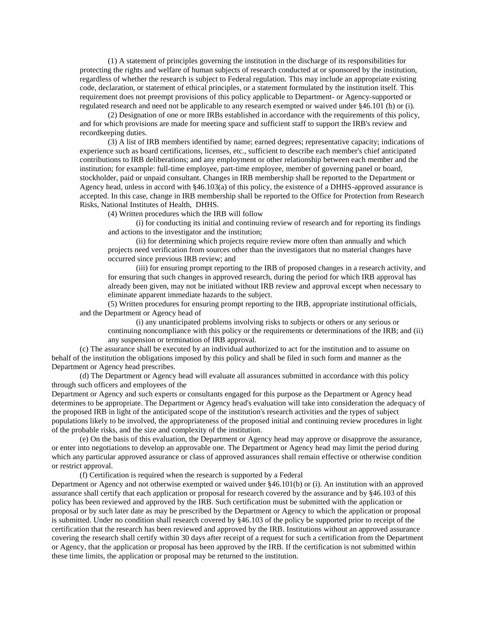(1) A statement of principles governing the institution in the discharge of its responsibilities for protecting the rights and welfare of human subjects of research conducted at or sponsored by the institution, regardless of whether the research is subject to Federal regulation. This may include an appropriate existing code, declaration, or statement of ethical principles, or a statement formulated by the institution itself. This requirement does not preempt provisions of this policy applicable to Department- or Agency-supported or regulated research and need not be applicable to any research exempted or waived under §46.101 (b) or (i).

(2) Designation of one or more IRBs established in accordance with the requirements of this policy, and for which provisions are made for meeting space and sufficient staff to support the IRB's review and recordkeeping duties.

(3) A list of IRB members identified by name; earned degrees; representative capacity; indications of experience such as board certifications, licenses, etc., sufficient to describe each member's chief anticipated contributions to IRB deliberations; and any employment or other relationship between each member and the institution; for example: full-time employee, part-time employee, member of governing panel or board, stockholder, paid or unpaid consultant. Changes in IRB membership shall be reported to the Department or Agency head, unless in accord with §46.103(a) of this policy, the existence of a DHHS-approved assurance is accepted. In this case, change in IRB membership shall be reported to the Office for Protection from Research Risks, National Institutes of Health, DHHS.

(4) Written procedures which the IRB will follow

(i) for conducting its initial and continuing review of research and for reporting its findings and actions to the investigator and the institution;

(ii) for determining which projects require review more often than annually and which projects need verification from sources other than the investigators that no material changes have occurred since previous IRB review; and

(iii) for ensuring prompt reporting to the IRB of proposed changes in a research activity, and for ensuring that such changes in approved research, during the period for which IRB approval has already been given, may not be initiated without IRB review and approval except when necessary to eliminate apparent immediate hazards to the subject.

(5) Written procedures for ensuring prompt reporting to the IRB, appropriate institutional officials, and the Department or Agency head of

(i) any unanticipated problems involving risks to subjects or others or any serious or continuing noncompliance with this policy or the requirements or determinations of the IRB; and (ii) any suspension or termination of IRB approval.

(c) The assurance shall be executed by an individual authorized to act for the institution and to assume on behalf of the institution the obligations imposed by this policy and shall be filed in such form and manner as the Department or Agency head prescribes.

(d) The Department or Agency head will evaluate all assurances submitted in accordance with this policy through such officers and employees of the

Department or Agency and such experts or consultants engaged for this purpose as the Department or Agency head determines to be appropriate. The Department or Agency head's evaluation will take into consideration the adequacy of the proposed IRB in light of the anticipated scope of the institution's research activities and the types of subject populations likely to be involved, the appropriateness of the proposed initial and continuing review procedures in light of the probable risks, and the size and complexity of the institution.

(e) On the basis of this evaluation, the Department or Agency head may approve or disapprove the assurance, or enter into negotiations to develop an approvable one. The Department or Agency head may limit the period during which any particular approved assurance or class of approved assurances shall remain effective or otherwise condition or restrict approval.

(f) Certification is required when the research is supported by a Federal

Department or Agency and not otherwise exempted or waived under §46.101(b) or (i). An institution with an approved assurance shall certify that each application or proposal for research covered by the assurance and by §46.103 of this policy has been reviewed and approved by the IRB. Such certification must be submitted with the application or proposal or by such later date as may be prescribed by the Department or Agency to which the application or proposal is submitted. Under no condition shall research covered by §46.103 of the policy be supported prior to receipt of the certification that the research has been reviewed and approved by the IRB. Institutions without an approved assurance covering the research shall certify within 30 days after receipt of a request for such a certification from the Department or Agency, that the application or proposal has been approved by the IRB. If the certification is not submitted within these time limits, the application or proposal may be returned to the institution.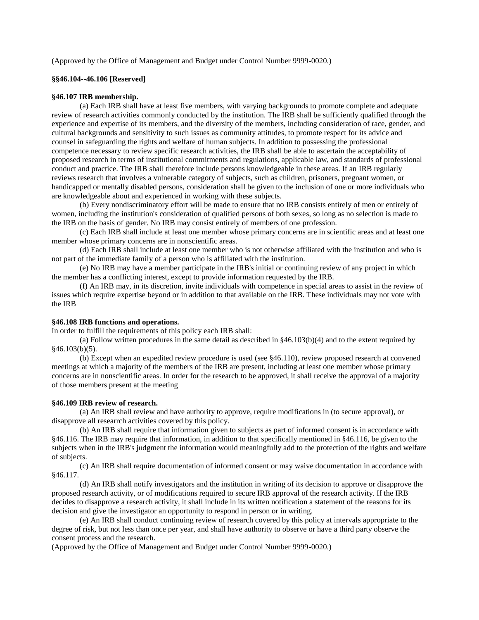(Approved by the Office of Management and Budget under Control Number 9999-0020.)

## **§§46.104--46.106 [Reserved]**

#### **§46.107 IRB membership.**

(a) Each IRB shall have at least five members, with varying backgrounds to promote complete and adequate review of research activities commonly conducted by the institution. The IRB shall be sufficiently qualified through the experience and expertise of its members, and the diversity of the members, including consideration of race, gender, and cultural backgrounds and sensitivity to such issues as community attitudes, to promote respect for its advice and counsel in safeguarding the rights and welfare of human subjects. In addition to possessing the professional competence necessary to review specific research activities, the IRB shall be able to ascertain the acceptability of proposed research in terms of institutional commitments and regulations, applicable law, and standards of professional conduct and practice. The IRB shall therefore include persons knowledgeable in these areas. If an IRB regularly reviews research that involves a vulnerable category of subjects, such as children, prisoners, pregnant women, or handicapped or mentally disabled persons, consideration shall be given to the inclusion of one or more individuals who are knowledgeable about and experienced in working with these subjects.

(b) Every nondiscriminatory effort will be made to ensure that no IRB consists entirely of men or entirely of women, including the institution's consideration of qualified persons of both sexes, so long as no selection is made to the IRB on the basis of gender. No IRB may consist entirely of members of one profession.

(c) Each IRB shall include at least one member whose primary concerns are in scientific areas and at least one member whose primary concerns are in nonscientific areas.

(d) Each IRB shall include at least one member who is not otherwise affiliated with the institution and who is not part of the immediate family of a person who is affiliated with the institution.

(e) No IRB may have a member participate in the IRB's initial or continuing review of any project in which the member has a conflicting interest, except to provide information requested by the IRB.

(f) An IRB may, in its discretion, invite individuals with competence in special areas to assist in the review of issues which require expertise beyond or in addition to that available on the IRB. These individuals may not vote with the IRB

### **§46.108 IRB functions and operations.**

In order to fulfill the requirements of this policy each IRB shall:

(a) Follow written procedures in the same detail as described in §46.103(b)(4) and to the extent required by §46.103(b)(5).

(b) Except when an expedited review procedure is used (see §46.110), review proposed research at convened meetings at which a majority of the members of the IRB are present, including at least one member whose primary concerns are in nonscientific areas. In order for the research to be approved, it shall receive the approval of a majority of those members present at the meeting

#### **§46.109 IRB review of research.**

(a) An IRB shall review and have authority to approve, require modifications in (to secure approval), or disapprove all researrch activities covered by this policy.

(b) An IRB shall require that information given to subjects as part of informed consent is in accordance with §46.116. The IRB may require that information, in addition to that specifically mentioned in §46.116, be given to the subjects when in the IRB's judgment the information would meaningfully add to the protection of the rights and welfare of subjects.

(c) An IRB shall require documentation of informed consent or may waive documentation in accordance with §46.117.

(d) An IRB shall notify investigators and the institution in writing of its decision to approve or disapprove the proposed research activity, or of modifications required to secure IRB approval of the research activity. If the IRB decides to disapprove a research activity, it shall include in its written notification a statement of the reasons for its decision and give the investigator an opportunity to respond in person or in writing.

(e) An IRB shall conduct continuing review of research covered by this policy at intervals appropriate to the degree of risk, but not less than once per year, and shall have authority to observe or have a third party observe the consent process and the research.

(Approved by the Office of Management and Budget under Control Number 9999-0020.)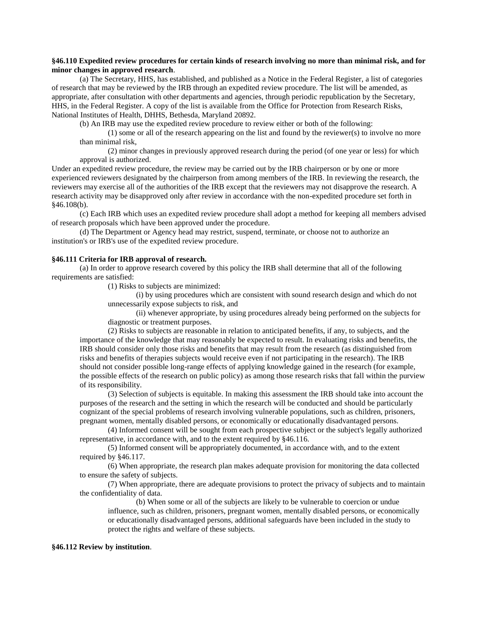# **§46.110 Expedited review procedures for certain kinds of research involving no more than minimal risk, and for minor changes in approved research**.

(a) The Secretary, HHS, has established, and published as a Notice in the Federal Register, a list of categories of research that may be reviewed by the IRB through an expedited review procedure. The list will be amended, as appropriate, after consultation with other departments and agencies, through periodic republication by the Secretary, HHS, in the Federal Register. A copy of the list is available from the Office for Protection from Research Risks, National Institutes of Health, DHHS, Bethesda, Maryland 20892.

(b) An IRB may use the expedited review procedure to review either or both of the following:

(1) some or all of the research appearing on the list and found by the reviewer(s) to involve no more than minimal risk,

(2) minor changes in previously approved research during the period (of one year or less) for which approval is authorized.

Under an expedited review procedure, the review may be carried out by the IRB chairperson or by one or more experienced reviewers designated by the chairperson from among members of the IRB. In reviewing the research, the reviewers may exercise all of the authorities of the IRB except that the reviewers may not disapprove the research. A research activity may be disapproved only after review in accordance with the non-expedited procedure set forth in §46.108(b).

(c) Each IRB which uses an expedited review procedure shall adopt a method for keeping all members advised of research proposals which have been approved under the procedure.

(d) The Department or Agency head may restrict, suspend, terminate, or choose not to authorize an institution's or IRB's use of the expedited review procedure.

# **§46.111 Criteria for IRB approval of research.**

(a) In order to approve research covered by this policy the IRB shall determine that all of the following requirements are satisfied:

(1) Risks to subjects are minimized:

(i) by using procedures which are consistent with sound research design and which do not unnecessarily expose subjects to risk, and

(ii) whenever appropriate, by using procedures already being performed on the subjects for diagnostic or treatment purposes.

(2) Risks to subjects are reasonable in relation to anticipated benefits, if any, to subjects, and the importance of the knowledge that may reasonably be expected to result. In evaluating risks and benefits, the IRB should consider only those risks and benefits that may result from the research (as distinguished from risks and benefits of therapies subjects would receive even if not participating in the research). The IRB should not consider possible long-range effects of applying knowledge gained in the research (for example, the possible effects of the research on public policy) as among those research risks that fall within the purview of its responsibility.

(3) Selection of subjects is equitable. In making this assessment the IRB should take into account the purposes of the research and the setting in which the research will be conducted and should be particularly cognizant of the special problems of research involving vulnerable populations, such as children, prisoners, pregnant women, mentally disabled persons, or economically or educationally disadvantaged persons.

(4) Informed consent will be sought from each prospective subject or the subject's legally authorized representative, in accordance with, and to the extent required by §46.116.

(5) Informed consent will be appropriately documented, in accordance with, and to the extent required by §46.117.

(6) When appropriate, the research plan makes adequate provision for monitoring the data collected to ensure the safety of subjects.

(7) When appropriate, there are adequate provisions to protect the privacy of subjects and to maintain the confidentiality of data.

(b) When some or all of the subjects are likely to be vulnerable to coercion or undue influence, such as children, prisoners, pregnant women, mentally disabled persons, or economically or educationally disadvantaged persons, additional safeguards have been included in the study to

protect the rights and welfare of these subjects.

### **§46.112 Review by institution**.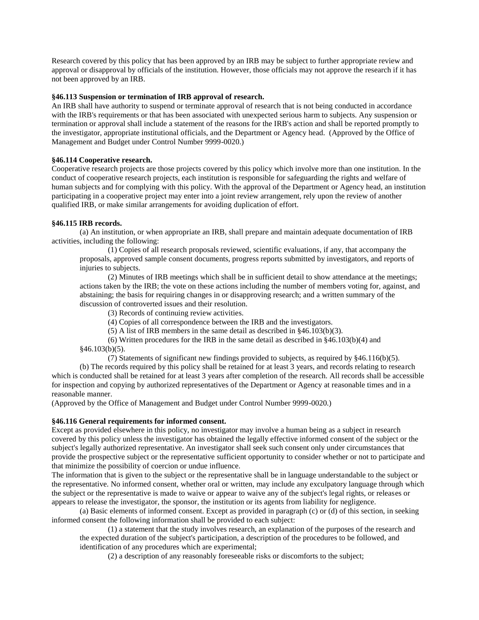Research covered by this policy that has been approved by an IRB may be subject to further appropriate review and approval or disapproval by officials of the institution. However, those officials may not approve the research if it has not been approved by an IRB.

# **§46.113 Suspension or termination of IRB approval of research.**

An IRB shall have authority to suspend or terminate approval of research that is not being conducted in accordance with the IRB's requirements or that has been associated with unexpected serious harm to subjects. Any suspension or termination or approval shall include a statement of the reasons for the IRB's action and shall be reported promptly to the investigator, appropriate institutional officials, and the Department or Agency head. (Approved by the Office of Management and Budget under Control Number 9999-0020.)

# **§46.114 Cooperative research.**

Cooperative research projects are those projects covered by this policy which involve more than one institution. In the conduct of cooperative research projects, each institution is responsible for safeguarding the rights and welfare of human subjects and for complying with this policy. With the approval of the Department or Agency head, an institution participating in a cooperative project may enter into a joint review arrangement, rely upon the review of another qualified IRB, or make similar arrangements for avoiding duplication of effort.

# **§46.115 IRB records.**

(a) An institution, or when appropriate an IRB, shall prepare and maintain adequate documentation of IRB activities, including the following:

(1) Copies of all research proposals reviewed, scientific evaluations, if any, that accompany the proposals, approved sample consent documents, progress reports submitted by investigators, and reports of injuries to subjects.

(2) Minutes of IRB meetings which shall be in sufficient detail to show attendance at the meetings; actions taken by the IRB; the vote on these actions including the number of members voting for, against, and abstaining; the basis for requiring changes in or disapproving research; and a written summary of the discussion of controverted issues and their resolution.

(3) Records of continuing review activities.

(4) Copies of all correspondence between the IRB and the investigators.

(5) A list of IRB members in the same detail as described in §46.103(b)(3).

(6) Written procedures for the IRB in the same detail as described in §46.103(b)(4) and

§46.103(b)(5).

(7) Statements of significant new findings provided to subjects, as required by §46.116(b)(5).

(b) The records required by this policy shall be retained for at least 3 years, and records relating to research which is conducted shall be retained for at least 3 years after completion of the research. All records shall be accessible for inspection and copying by authorized representatives of the Department or Agency at reasonable times and in a reasonable manner.

(Approved by the Office of Management and Budget under Control Number 9999-0020.)

# **§46.116 General requirements for informed consent.**

Except as provided elsewhere in this policy, no investigator may involve a human being as a subject in research covered by this policy unless the investigator has obtained the legally effective informed consent of the subject or the subject's legally authorized representative. An investigator shall seek such consent only under circumstances that provide the prospective subject or the representative sufficient opportunity to consider whether or not to participate and that minimize the possibility of coercion or undue influence.

The information that is given to the subject or the representative shall be in language understandable to the subject or the representative. No informed consent, whether oral or written, may include any exculpatory language through which the subject or the representative is made to waive or appear to waive any of the subject's legal rights, or releases or appears to release the investigator, the sponsor, the institution or its agents from liability for negligence.

(a) Basic elements of informed consent. Except as provided in paragraph (c) or (d) of this section, in seeking informed consent the following information shall be provided to each subject:

(1) a statement that the study involves research, an explanation of the purposes of the research and the expected duration of the subject's participation, a description of the procedures to be followed, and identification of any procedures which are experimental;

(2) a description of any reasonably foreseeable risks or discomforts to the subject;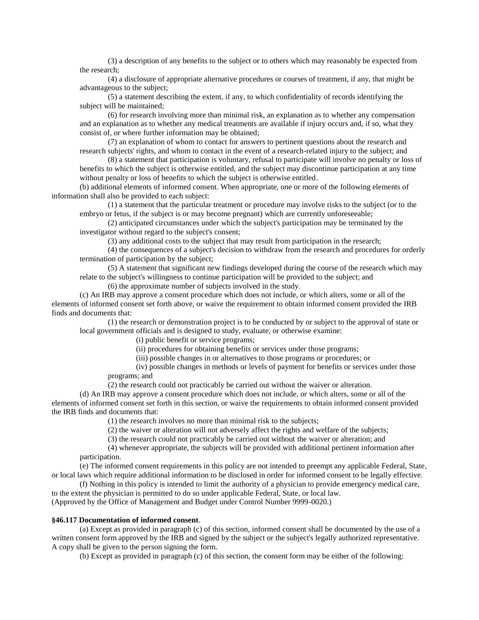(3) a description of any benefits to the subject or to others which may reasonably be expected from the research;

(4) a disclosure of appropriate alternative procedures or courses of treatment, if any, that might be advantageous to the subject;

(5) a statement describing the extent, if any, to which confidentiality of records identifying the subject will be maintained;

(6) for research involving more than minimal risk, an explanation as to whether any compensation and an explanation as to whether any medical treatments are available if injury occurs and, if so, what they consist of, or where further information may be obtained;

(7) an explanation of whom to contact for answers to pertinent questions about the research and research subjects' rights, and whom to contact in the event of a research-related injury to the subject; and

(8) a statement that participation is voluntary, refusal to participate will involve no penalty or loss of benefits to which the subject is otherwise entitled, and the subject may discontinue participation at any time without penalty or loss of benefits to which the subject is otherwise entitled.

(b) additional elements of informed consent. When appropriate, one or more of the following elements of information shall also be provided to each subject:

(1) a statement that the particular treatment or procedure may involve risks to the subject (or to the embryo or fetus, if the subject is or may become pregnant) which are currently unforeseeable;

(2) anticipated circumstances under which the subject's participation may be terminated by the investigator without regard to the subject's consent;

(3) any additional costs to the subject that may result from participation in the research;

(4) the consequences of a subject's decision to withdraw from the research and procedures for orderly termination of participation by the subject;

(5) A statement that significant new findings developed during the course of the research which may relate to the subject's willingness to continue participation will be provided to the subject; and

(6) the approximate number of subjects involved in the study.

(c) An IRB may approve a consent procedure which does not include, or which alters, some or all of the elements of informed consent set forth above, or waive the requirement to obtain informed consent provided the IRB finds and documents that:

(1) the research or demonstration project is to be conducted by or subject to the approval of state or local government officials and is designed to study, evaluate, or otherwise examine:

(i) public benefit or service programs;

(ii) procedures for obtaining benefits or services under those programs;

(iii) possible changes in or alternatives to those programs or procedures; or

(iv) possible changes in methods or levels of payment for benefits or services under those programs; and

(2) the research could not practicably be carried out without the waiver or alteration.

(d) An IRB may approve a consent procedure which does not include, or which alters, some or all of the elements of informed consent set forth in this section, or waive the requirements to obtain informed consent provided the IRB finds and documents that:

(1) the research involves no more than minimal risk to the subjects;

(2) the waiver or alteration will not adversely affect the rights and welfare of the subjects;

(3) the research could not practicably be carried out without the waiver or alteration; and

(4) whenever appropriate, the subjects will be provided with additional pertinent information after participation.

(e) The informed consent requirements in this policy are not intended to preempt any applicable Federal, State, or local laws which require additional information to be disclosed in order for informed consent to be legally effective.

(f) Nothing in this policy is intended to limit the authority of a physician to provide emergency medical care, to the extent the physician is permitted to do so under applicable Federal, State, or local law. (Approved by the Office of Management and Budget under Control Number 9999-0020.)

**§46.117 Documentation of informed consent**.

(a) Except as provided in paragraph (c) of this section, informed consent shall be documented by the use of a written consent form approved by the IRB and signed by the subject or the subject's legally authorized representative. A copy shall be given to the person signing the form.

(b) Except as provided in paragraph (c) of this section, the consent form may be either of the following: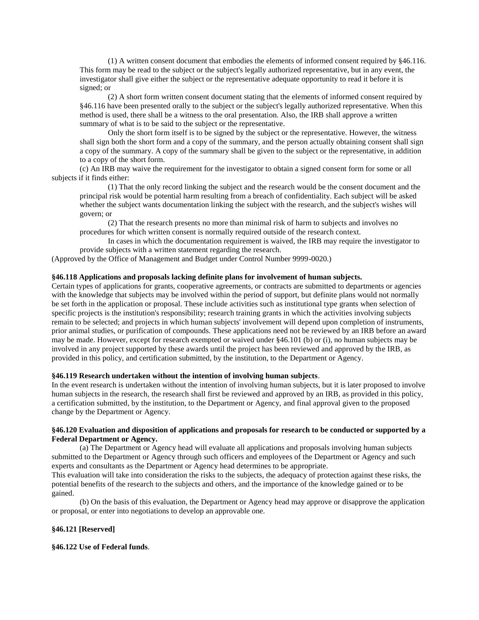(1) A written consent document that embodies the elements of informed consent required by §46.116. This form may be read to the subject or the subject's legally authorized representative, but in any event, the investigator shall give either the subject or the representative adequate opportunity to read it before it is signed; or

(2) A short form written consent document stating that the elements of informed consent required by §46.116 have been presented orally to the subject or the subject's legally authorized representative. When this method is used, there shall be a witness to the oral presentation. Also, the IRB shall approve a written summary of what is to be said to the subject or the representative.

Only the short form itself is to be signed by the subject or the representative. However, the witness shall sign both the short form and a copy of the summary, and the person actually obtaining consent shall sign a copy of the summary. A copy of the summary shall be given to the subject or the representative, in addition to a copy of the short form.

(c) An IRB may waive the requirement for the investigator to obtain a signed consent form for some or all subjects if it finds either:

(1) That the only record linking the subject and the research would be the consent document and the principal risk would be potential harm resulting from a breach of confidentiality. Each subject will be asked whether the subject wants documentation linking the subject with the research, and the subject's wishes will govern; or

(2) That the research presents no more than minimal risk of harm to subjects and involves no procedures for which written consent is normally required outside of the research context.

In cases in which the documentation requirement is waived, the IRB may require the investigator to provide subjects with a written statement regarding the research.

(Approved by the Office of Management and Budget under Control Number 9999-0020.)

# **§46.118 Applications and proposals lacking definite plans for involvement of human subjects.**

Certain types of applications for grants, cooperative agreements, or contracts are submitted to departments or agencies with the knowledge that subjects may be involved within the period of support, but definite plans would not normally be set forth in the application or proposal. These include activities such as institutional type grants when selection of specific projects is the institution's responsibility; research training grants in which the activities involving subjects remain to be selected; and projects in which human subjects' involvement will depend upon completion of instruments, prior animal studies, or purification of compounds. These applications need not be reviewed by an IRB before an award may be made. However, except for research exempted or waived under §46.101 (b) or (i), no human subjects may be involved in any project supported by these awards until the project has been reviewed and approved by the IRB, as provided in this policy, and certification submitted, by the institution, to the Department or Agency.

# **§46.119 Research undertaken without the intention of involving human subjects**.

In the event research is undertaken without the intention of involving human subjects, but it is later proposed to involve human subjects in the research, the research shall first be reviewed and approved by an IRB, as provided in this policy, a certification submitted, by the institution, to the Department or Agency, and final approval given to the proposed change by the Department or Agency.

## **§46.120 Evaluation and disposition of applications and proposals for research to be conducted or supported by a Federal Department or Agency.**

(a) The Department or Agency head will evaluate all applications and proposals involving human subjects submitted to the Department or Agency through such officers and employees of the Department or Agency and such experts and consultants as the Department or Agency head determines to be appropriate.

This evaluation will take into consideration the risks to the subjects, the adequacy of protection against these risks, the potential benefits of the research to the subjects and others, and the importance of the knowledge gained or to be gained.

(b) On the basis of this evaluation, the Department or Agency head may approve or disapprove the application or proposal, or enter into negotiations to develop an approvable one.

## **§46.121 [Reserved]**

# **§46.122 Use of Federal funds**.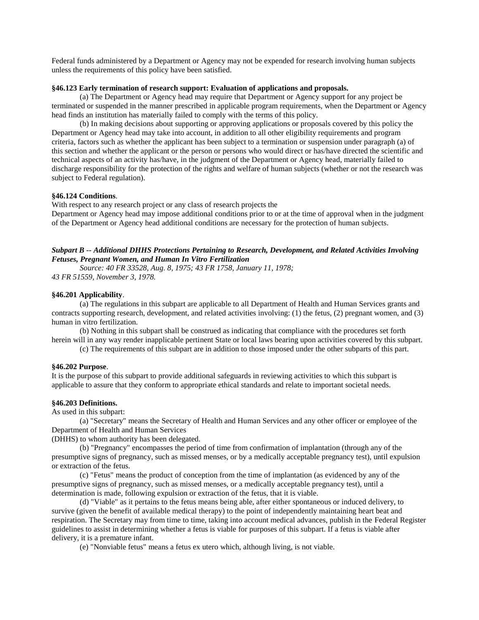Federal funds administered by a Department or Agency may not be expended for research involving human subjects unless the requirements of this policy have been satisfied.

# **§46.123 Early termination of research support: Evaluation of applications and proposals.**

(a) The Department or Agency head may require that Department or Agency support for any project be terminated or suspended in the manner prescribed in applicable program requirements, when the Department or Agency head finds an institution has materially failed to comply with the terms of this policy.

(b) In making decisions about supporting or approving applications or proposals covered by this policy the Department or Agency head may take into account, in addition to all other eligibility requirements and program criteria, factors such as whether the applicant has been subject to a termination or suspension under paragraph (a) of this section and whether the applicant or the person or persons who would direct or has/have directed the scientific and technical aspects of an activity has/have, in the judgment of the Department or Agency head, materially failed to discharge responsibility for the protection of the rights and welfare of human subjects (whether or not the research was subject to Federal regulation).

### **§46.124 Conditions**.

With respect to any research project or any class of research projects the

Department or Agency head may impose additional conditions prior to or at the time of approval when in the judgment of the Department or Agency head additional conditions are necessary for the protection of human subjects.

# *Subpart B -- Additional DHHS Protections Pertaining to Research, Development, and Related Activities Involving Fetuses, Pregnant Women, and Human In Vitro Fertilization*

*Source: 40 FR 33528, Aug. 8, 1975; 43 FR 1758, January 11, 1978; 43 FR 51559, November 3, 1978.*

### **§46.201 Applicability**.

(a) The regulations in this subpart are applicable to all Department of Health and Human Services grants and contracts supporting research, development, and related activities involving: (1) the fetus, (2) pregnant women, and (3) human in vitro fertilization.

(b) Nothing in this subpart shall be construed as indicating that compliance with the procedures set forth herein will in any way render inapplicable pertinent State or local laws bearing upon activities covered by this subpart.

(c) The requirements of this subpart are in addition to those imposed under the other subparts of this part.

## **§46.202 Purpose**.

It is the purpose of this subpart to provide additional safeguards in reviewing activities to which this subpart is applicable to assure that they conform to appropriate ethical standards and relate to important societal needs.

#### **§46.203 Definitions.**

As used in this subpart:

(a) "Secretary" means the Secretary of Health and Human Services and any other officer or employee of the Department of Health and Human Services

(DHHS) to whom authority has been delegated.

(b) "Pregnancy" encompasses the period of time from confirmation of implantation (through any of the presumptive signs of pregnancy, such as missed menses, or by a medically acceptable pregnancy test), until expulsion or extraction of the fetus.

(c) "Fetus" means the product of conception from the time of implantation (as evidenced by any of the presumptive signs of pregnancy, such as missed menses, or a medically acceptable pregnancy test), until a determination is made, following expulsion or extraction of the fetus, that it is viable.

(d) "Viable" as it pertains to the fetus means being able, after either spontaneous or induced delivery, to survive (given the benefit of available medical therapy) to the point of independently maintaining heart beat and respiration. The Secretary may from time to time, taking into account medical advances, publish in the Federal Register guidelines to assist in determining whether a fetus is viable for purposes of this subpart. If a fetus is viable after delivery, it is a premature infant.

(e) "Nonviable fetus" means a fetus ex utero which, although living, is not viable.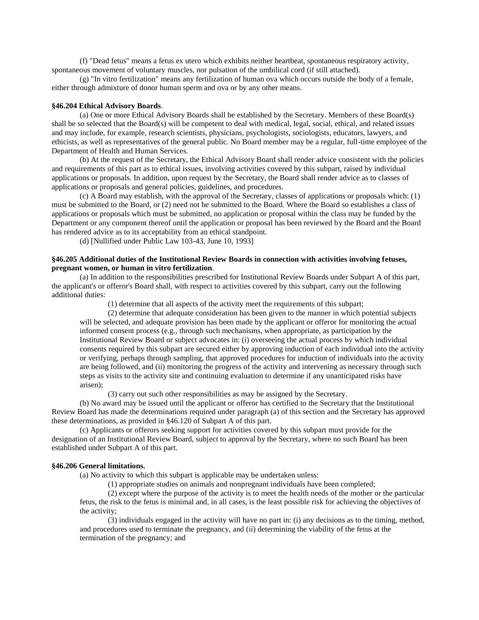(f) "Dead fetus" means a fetus ex utero which exhibits neither heartbeat, spontaneous respiratory activity, spontaneous movement of voluntary muscles, nor pulsation of the umbilical cord (if still attached).

(g) "In vitro fertilization" means any fertilization of human ova which occurs outside the body of a female, either through admixture of donor human sperm and ova or by any other means.

#### **§46.204 Ethical Advisory Boards**.

(a) One or more Ethical Advisory Boards shall be established by the Secretary. Members of these Board(s) shall be so selected that the Board(s) will be competent to deal with medical, legal, social, ethical, and related issues and may include, for example, research scientists, physicians, psychologists, sociologists, educators, lawyers, and ethicists, as well as representatives of the general public. No Board member may be a regular, full-time employee of the Department of Health and Human Services.

(b) At the request of the Secretary, the Ethical Advisory Board shall render advice consistent with the policies and requirements of this part as to ethical issues, involving activities covered by this subpart, raised by individual applications or proposals. In addition, upon request by the Secretary, the Board shall render advice as to classes of applications or proposals and general policies, guidelines, and procedures.

(c) A Board may establish, with the approval of the Secretary, classes of applications or proposals which: (1) must be submitted to the Board, or (2) need not be submitted to the Board. Where the Board so establishes a class of applications or proposals which must be submitted, no application or proposal within the class may be funded by the Department or any component thereof until the application or proposal has been reviewed by the Board and the Board has rendered advice as to its acceptability from an ethical standpoint.

(d) [Nullified under Public Law 103-43, June 10, 1993]

# **§46.205 Additional duties of the Institutional Review Boards in connection with activities involving fetuses, pregnant women, or human in vitro fertilization**.

(a) In addition to the responsibilities prescribed for Institutional Review Boards under Subpart A of this part, the applicant's or offeror's Board shall, with respect to activities covered by this subpart, carry out the following additional duties:

(1) determine that all aspects of the activity meet the requirements of this subpart;

(2) determine that adequate consideration has been given to the manner in which potential subjects will be selected, and adequate provision has been made by the applicant or offeror for monitoring the actual informed consent process (e.g., through such mechanisms, when appropriate, as participation by the Institutional Review Board or subject advocates in: (i) overseeing the actual process by which individual consents required by this subpart are secured either by approving induction of each individual into the activity or verifying, perhaps through sampling, that approved procedures for induction of individuals into the activity are being followed, and (ii) monitoring the progress of the activity and intervening as necessary through such steps as visits to the activity site and continuing evaluation to determine if any unanticipated risks have arisen);

(3) carry out such other responsibilities as may be assigned by the Secretary.

(b) No award may be issued until the applicant or offeror has certified to the Secretary that the Institutional Review Board has made the determinations required under paragraph (a) of this section and the Secretary has approved these determinations, as provided in §46.120 of Subpart A of this part.

(c) Applicants or offerors seeking support for activities covered by this subpart must provide for the designation of an Institutional Review Board, subject to approval by the Secretary, where no such Board has been established under Subpart A of this part.

### **§46.206 General limitations.**

(a) No activity to which this subpart is applicable may be undertaken unless:

(1) appropriate studies on animals and nonpregnant individuals have been completed;

(2) except where the purpose of the activity is to meet the health needs of the mother or the particular fetus, the risk to the fetus is minimal and, in all cases, is the least possible risk for achieving the objectives of the activity;

(3) individuals engaged in the activity will have no part in: (i) any decisions as to the timing, method, and procedures used to terminate the pregnancy, and (ii) determining the viability of the fetus at the termination of the pregnancy; and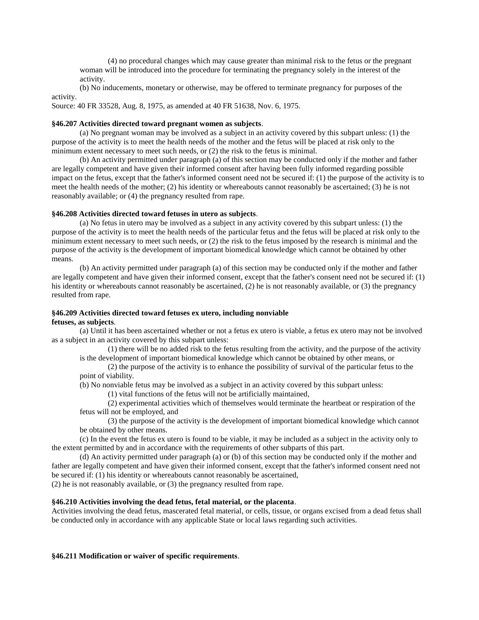(4) no procedural changes which may cause greater than minimal risk to the fetus or the pregnant woman will be introduced into the procedure for terminating the pregnancy solely in the interest of the activity.

(b) No inducements, monetary or otherwise, may be offered to terminate pregnancy for purposes of the activity.

Source: 40 FR 33528, Aug. 8, 1975, as amended at 40 FR 51638, Nov. 6, 1975.

## **§46.207 Activities directed toward pregnant women as subjects**.

(a) No pregnant woman may be involved as a subject in an activity covered by this subpart unless: (1) the purpose of the activity is to meet the health needs of the mother and the fetus will be placed at risk only to the minimum extent necessary to meet such needs, or (2) the risk to the fetus is minimal.

(b) An activity permitted under paragraph (a) of this section may be conducted only if the mother and father are legally competent and have given their informed consent after having been fully informed regarding possible impact on the fetus, except that the father's informed consent need not be secured if: (1) the purpose of the activity is to meet the health needs of the mother; (2) his identity or whereabouts cannot reasonably be ascertained; (3) he is not reasonably available; or (4) the pregnancy resulted from rape.

# **§46.208 Activities directed toward fetuses in utero as subjects**.

(a) No fetus in utero may be involved as a subject in any activity covered by this subpart unless: (1) the purpose of the activity is to meet the health needs of the particular fetus and the fetus will be placed at risk only to the minimum extent necessary to meet such needs, or (2) the risk to the fetus imposed by the research is minimal and the purpose of the activity is the development of important biomedical knowledge which cannot be obtained by other means.

(b) An activity permitted under paragraph (a) of this section may be conducted only if the mother and father are legally competent and have given their informed consent, except that the father's consent need not be secured if: (1) his identity or whereabouts cannot reasonably be ascertained, (2) he is not reasonably available, or (3) the pregnancy resulted from rape.

### **§46.209 Activities directed toward fetuses ex utero, including nonviable fetuses, as subjects**.

(a) Until it has been ascertained whether or not a fetus ex utero is viable, a fetus ex utero may not be involved as a subject in an activity covered by this subpart unless:

(1) there will be no added risk to the fetus resulting from the activity, and the purpose of the activity is the development of important biomedical knowledge which cannot be obtained by other means, or

(2) the purpose of the activity is to enhance the possibility of survival of the particular fetus to the point of viability.

(b) No nonviable fetus may be involved as a subject in an activity covered by this subpart unless:

(1) vital functions of the fetus will not be artificially maintained,

(2) experimental activities which of themselves would terminate the heartbeat or respiration of the fetus will not be employed, and

(3) the purpose of the activity is the development of important biomedical knowledge which cannot be obtained by other means.

(c) In the event the fetus ex utero is found to be viable, it may be included as a subject in the activity only to the extent permitted by and in accordance with the requirements of other subparts of this part.

(d) An activity permitted under paragraph (a) or (b) of this section may be conducted only if the mother and father are legally competent and have given their informed consent, except that the father's informed consent need not be secured if: (1) his identity or whereabouts cannot reasonably be ascertained,

(2) he is not reasonably available, or (3) the pregnancy resulted from rape.

# **§46.210 Activities involving the dead fetus, fetal material, or the placenta**.

Activities involving the dead fetus, mascerated fetal material, or cells, tissue, or organs excised from a dead fetus shall be conducted only in accordance with any applicable State or local laws regarding such activities.

### **§46.211 Modification or waiver of specific requirements**.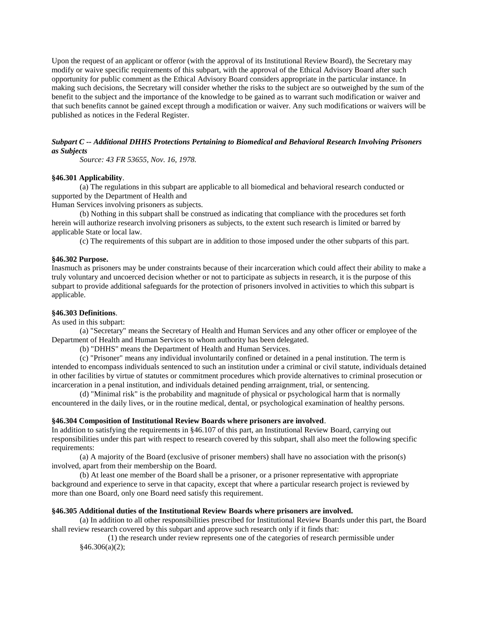Upon the request of an applicant or offeror (with the approval of its Institutional Review Board), the Secretary may modify or waive specific requirements of this subpart, with the approval of the Ethical Advisory Board after such opportunity for public comment as the Ethical Advisory Board considers appropriate in the particular instance. In making such decisions, the Secretary will consider whether the risks to the subject are so outweighed by the sum of the benefit to the subject and the importance of the knowledge to be gained as to warrant such modification or waiver and that such benefits cannot be gained except through a modification or waiver. Any such modifications or waivers will be published as notices in the Federal Register.

# *Subpart C -- Additional DHHS Protections Pertaining to Biomedical and Behavioral Research Involving Prisoners as Subjects*

*Source: 43 FR 53655, Nov. 16, 1978.*

### **§46.301 Applicability**.

(a) The regulations in this subpart are applicable to all biomedical and behavioral research conducted or supported by the Department of Health and

Human Services involving prisoners as subjects.

(b) Nothing in this subpart shall be construed as indicating that compliance with the procedures set forth herein will authorize research involving prisoners as subjects, to the extent such research is limited or barred by applicable State or local law.

(c) The requirements of this subpart are in addition to those imposed under the other subparts of this part.

## **§46.302 Purpose.**

Inasmuch as prisoners may be under constraints because of their incarceration which could affect their ability to make a truly voluntary and uncoerced decision whether or not to participate as subjects in research, it is the purpose of this subpart to provide additional safeguards for the protection of prisoners involved in activities to which this subpart is applicable.

# **§46.303 Definitions**.

As used in this subpart:

(a) "Secretary" means the Secretary of Health and Human Services and any other officer or employee of the Department of Health and Human Services to whom authority has been delegated.

(b) "DHHS" means the Department of Health and Human Services.

(c) "Prisoner" means any individual involuntarily confined or detained in a penal institution. The term is intended to encompass individuals sentenced to such an institution under a criminal or civil statute, individuals detained in other facilities by virtue of statutes or commitment procedures which provide alternatives to criminal prosecution or incarceration in a penal institution, and individuals detained pending arraignment, trial, or sentencing.

(d) "Minimal risk" is the probability and magnitude of physical or psychological harm that is normally encountered in the daily lives, or in the routine medical, dental, or psychological examination of healthy persons.

### **§46.304 Composition of Institutional Review Boards where prisoners are involved**.

In addition to satisfying the requirements in §46.107 of this part, an Institutional Review Board, carrying out responsibilities under this part with respect to research covered by this subpart, shall also meet the following specific requirements:

(a) A majority of the Board (exclusive of prisoner members) shall have no association with the prison(s) involved, apart from their membership on the Board.

(b) At least one member of the Board shall be a prisoner, or a prisoner representative with appropriate background and experience to serve in that capacity, except that where a particular research project is reviewed by more than one Board, only one Board need satisfy this requirement.

### **§46.305 Additional duties of the Institutional Review Boards where prisoners are involved.**

(a) In addition to all other responsibilities prescribed for Institutional Review Boards under this part, the Board shall review research covered by this subpart and approve such research only if it finds that:

(1) the research under review represents one of the categories of research permissible under §46.306(a)(2);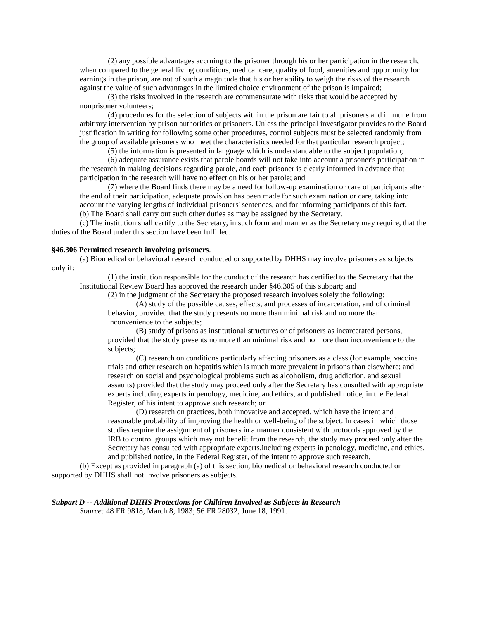(2) any possible advantages accruing to the prisoner through his or her participation in the research, when compared to the general living conditions, medical care, quality of food, amenities and opportunity for earnings in the prison, are not of such a magnitude that his or her ability to weigh the risks of the research against the value of such advantages in the limited choice environment of the prison is impaired;

(3) the risks involved in the research are commensurate with risks that would be accepted by nonprisoner volunteers;

(4) procedures for the selection of subjects within the prison are fair to all prisoners and immune from arbitrary intervention by prison authorities or prisoners. Unless the principal investigator provides to the Board justification in writing for following some other procedures, control subjects must be selected randomly from the group of available prisoners who meet the characteristics needed for that particular research project;

(5) the information is presented in language which is understandable to the subject population;

(6) adequate assurance exists that parole boards will not take into account a prisoner's participation in the research in making decisions regarding parole, and each prisoner is clearly informed in advance that participation in the research will have no effect on his or her parole; and

(7) where the Board finds there may be a need for follow-up examination or care of participants after the end of their participation, adequate provision has been made for such examination or care, taking into account the varying lengths of individual prisoners' sentences, and for informing participants of this fact. (b) The Board shall carry out such other duties as may be assigned by the Secretary.

(c) The institution shall certify to the Secretary, in such form and manner as the Secretary may require, that the duties of the Board under this section have been fulfilled.

#### **§46.306 Permitted research involving prisoners**.

(a) Biomedical or behavioral research conducted or supported by DHHS may involve prisoners as subjects only if:

(1) the institution responsible for the conduct of the research has certified to the Secretary that the Institutional Review Board has approved the research under §46.305 of this subpart; and

(2) in the judgment of the Secretary the proposed research involves solely the following:

(A) study of the possible causes, effects, and processes of incarceration, and of criminal behavior, provided that the study presents no more than minimal risk and no more than inconvenience to the subjects;

(B) study of prisons as institutional structures or of prisoners as incarcerated persons, provided that the study presents no more than minimal risk and no more than inconvenience to the subjects;

(C) research on conditions particularly affecting prisoners as a class (for example, vaccine trials and other research on hepatitis which is much more prevalent in prisons than elsewhere; and research on social and psychological problems such as alcoholism, drug addiction, and sexual assaults) provided that the study may proceed only after the Secretary has consulted with appropriate experts including experts in penology, medicine, and ethics, and published notice, in the Federal Register, of his intent to approve such research; or

(D) research on practices, both innovative and accepted, which have the intent and reasonable probability of improving the health or well-being of the subject. In cases in which those studies require the assignment of prisoners in a manner consistent with protocols approved by the IRB to control groups which may not benefit from the research, the study may proceed only after the Secretary has consulted with appropriate experts,including experts in penology, medicine, and ethics, and published notice, in the Federal Register, of the intent to approve such research.

(b) Except as provided in paragraph (a) of this section, biomedical or behavioral research conducted or supported by DHHS shall not involve prisoners as subjects.

*Subpart D -- Additional DHHS Protections for Children Involved as Subjects in Research*

*Source:* 48 FR 9818, March 8, 1983; 56 FR 28032, June 18, 1991.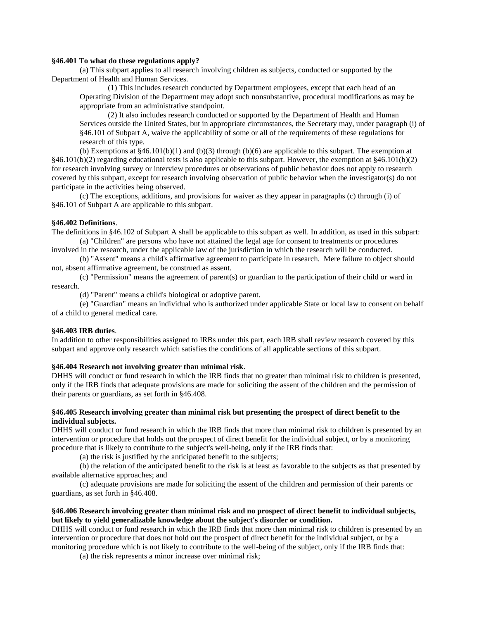## **§46.401 To what do these regulations apply?**

(a) This subpart applies to all research involving children as subjects, conducted or supported by the Department of Health and Human Services.

(1) This includes research conducted by Department employees, except that each head of an Operating Division of the Department may adopt such nonsubstantive, procedural modifications as may be appropriate from an administrative standpoint.

(2) It also includes research conducted or supported by the Department of Health and Human Services outside the United States, but in appropriate circumstances, the Secretary may, under paragraph (i) of §46.101 of Subpart A, waive the applicability of some or all of the requirements of these regulations for research of this type.

(b) Exemptions at  $§46.101(b)(1)$  and (b)(3) through (b)(6) are applicable to this subpart. The exemption at  $§46.101(b)(2)$  regarding educational tests is also applicable to this subpart. However, the exemption at  $§46.101(b)(2)$ for research involving survey or interview procedures or observations of public behavior does not apply to research covered by this subpart, except for research involving observation of public behavior when the investigator(s) do not participate in the activities being observed.

(c) The exceptions, additions, and provisions for waiver as they appear in paragraphs (c) through (i) of §46.101 of Subpart A are applicable to this subpart.

#### **§46.402 Definitions**.

The definitions in §46.102 of Subpart A shall be applicable to this subpart as well. In addition, as used in this subpart: (a) "Children" are persons who have not attained the legal age for consent to treatments or procedures

involved in the research, under the applicable law of the jurisdiction in which the research will be conducted. (b) "Assent" means a child's affirmative agreement to participate in research. Mere failure to object should

not, absent affirmative agreement, be construed as assent.

(c) "Permission" means the agreement of parent(s) or guardian to the participation of their child or ward in research.

(d) "Parent" means a child's biological or adoptive parent.

(e) "Guardian" means an individual who is authorized under applicable State or local law to consent on behalf of a child to general medical care.

### **§46.403 IRB duties**.

In addition to other responsibilities assigned to IRBs under this part, each IRB shall review research covered by this subpart and approve only research which satisfies the conditions of all applicable sections of this subpart.

### **§46.404 Research not involving greater than minimal risk**.

DHHS will conduct or fund research in which the IRB finds that no greater than minimal risk to children is presented, only if the IRB finds that adequate provisions are made for soliciting the assent of the children and the permission of their parents or guardians, as set forth in §46.408.

### **§46.405 Research involving greater than minimal risk but presenting the prospect of direct benefit to the individual subjects.**

DHHS will conduct or fund research in which the IRB finds that more than minimal risk to children is presented by an intervention or procedure that holds out the prospect of direct benefit for the individual subject, or by a monitoring procedure that is likely to contribute to the subject's well-being, only if the IRB finds that:

(a) the risk is justified by the anticipated benefit to the subjects;

(b) the relation of the anticipated benefit to the risk is at least as favorable to the subjects as that presented by available alternative approaches; and

(c) adequate provisions are made for soliciting the assent of the children and permission of their parents or guardians, as set forth in §46.408.

## **§46.406 Research involving greater than minimal risk and no prospect of direct benefit to individual subjects, but likely to yield generalizable knowledge about the subject's disorder or condition.**

DHHS will conduct or fund research in which the IRB finds that more than minimal risk to children is presented by an intervention or procedure that does not hold out the prospect of direct benefit for the individual subject, or by a monitoring procedure which is not likely to contribute to the well-being of the subject, only if the IRB finds that:

(a) the risk represents a minor increase over minimal risk;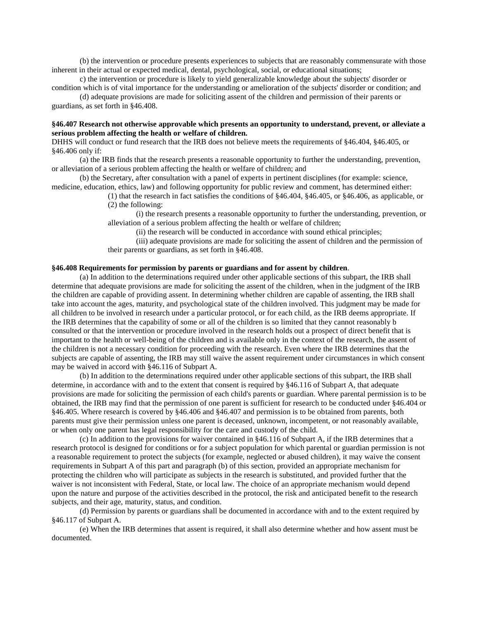(b) the intervention or procedure presents experiences to subjects that are reasonably commensurate with those inherent in their actual or expected medical, dental, psychological, social, or educational situations;

c) the intervention or procedure is likely to yield generalizable knowledge about the subjects' disorder or condition which is of vital importance for the understanding or amelioration of the subjects' disorder or condition; and

(d) adequate provisions are made for soliciting assent of the children and permission of their parents or guardians, as set forth in §46.408.

## **§46.407 Research not otherwise approvable which presents an opportunity to understand, prevent, or alleviate a serious problem affecting the health or welfare of children.**

DHHS will conduct or fund research that the IRB does not believe meets the requirements of §46.404, §46.405, or §46.406 only if:

(a) the IRB finds that the research presents a reasonable opportunity to further the understanding, prevention, or alleviation of a serious problem affecting the health or welfare of children; and

(b) the Secretary, after consultation with a panel of experts in pertinent disciplines (for example: science, medicine, education, ethics, law) and following opportunity for public review and comment, has determined either:

> (1) that the research in fact satisfies the conditions of §46.404, §46.405, or §46.406, as applicable, or (2) the following:

(i) the research presents a reasonable opportunity to further the understanding, prevention, or alleviation of a serious problem affecting the health or welfare of children;

(ii) the research will be conducted in accordance with sound ethical principles;

(iii) adequate provisions are made for soliciting the assent of children and the permission of their parents or guardians, as set forth in §46.408.

### **§46.408 Requirements for permission by parents or guardians and for assent by children**.

(a) In addition to the determinations required under other applicable sections of this subpart, the IRB shall determine that adequate provisions are made for soliciting the assent of the children, when in the judgment of the IRB the children are capable of providing assent. In determining whether children are capable of assenting, the IRB shall take into account the ages, maturity, and psychological state of the children involved. This judgment may be made for all children to be involved in research under a particular protocol, or for each child, as the IRB deems appropriate. If the IRB determines that the capability of some or all of the children is so limited that they cannot reasonably b consulted or that the intervention or procedure involved in the research holds out a prospect of direct benefit that is important to the health or well-being of the children and is available only in the context of the research, the assent of the children is not a necessary condition for proceeding with the research. Even where the IRB determines that the subjects are capable of assenting, the IRB may still waive the assent requirement under circumstances in which consent may be waived in accord with §46.116 of Subpart A.

(b) In addition to the determinations required under other applicable sections of this subpart, the IRB shall determine, in accordance with and to the extent that consent is required by §46.116 of Subpart A, that adequate provisions are made for soliciting the permission of each child's parents or guardian. Where parental permission is to be obtained, the IRB may find that the permission of one parent is sufficient for research to be conducted under §46.404 or §46.405. Where research is covered by §46.406 and §46.407 and permission is to be obtained from parents, both parents must give their permission unless one parent is deceased, unknown, incompetent, or not reasonably available, or when only one parent has legal responsibility for the care and custody of the child.

(c) In addition to the provisions for waiver contained in §46.116 of Subpart A, if the IRB determines that a research protocol is designed for conditions or for a subject population for which parental or guardian permission is not a reasonable requirement to protect the subjects (for example, neglected or abused children), it may waive the consent requirements in Subpart A of this part and paragraph (b) of this section, provided an appropriate mechanism for protecting the children who will participate as subjects in the research is substituted, and provided further that the waiver is not inconsistent with Federal, State, or local law. The choice of an appropriate mechanism would depend upon the nature and purpose of the activities described in the protocol, the risk and anticipated benefit to the research subjects, and their age, maturity, status, and condition.

(d) Permission by parents or guardians shall be documented in accordance with and to the extent required by §46.117 of Subpart A.

(e) When the IRB determines that assent is required, it shall also determine whether and how assent must be documented.